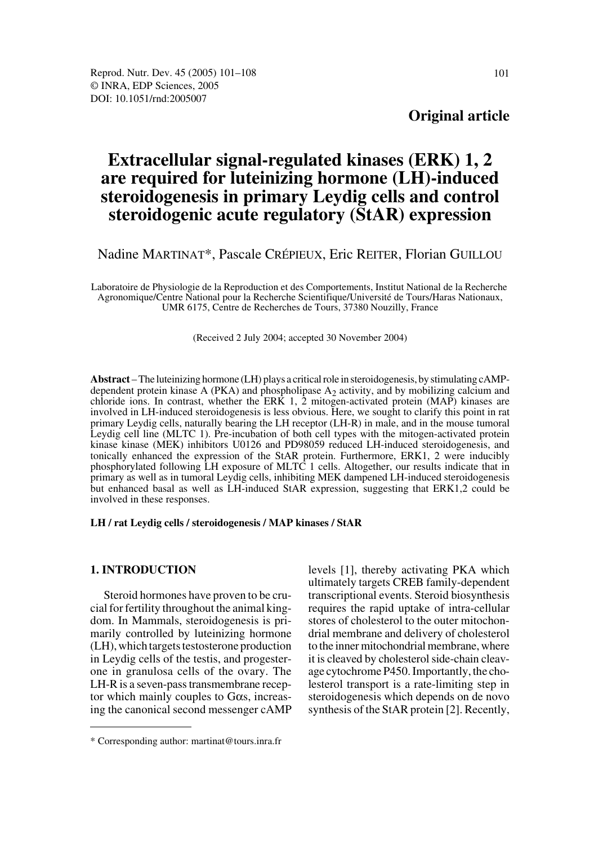## **Original article**

# **Extracellular signal-regulated kinases (ERK) 1, 2 are required for luteinizing hormone (LH)-induced steroidogenesis in primary Leydig cells and control steroidogenic acute regulatory (StAR) expression**

Nadine MARTINAT\*, Pascale CRÉPIEUX, Eric REITER, Florian GUILLOU

Laboratoire de Physiologie de la Reproduction et des Comportements, Institut National de la Recherche Agronomique/Centre National pour la Recherche Scientifique/Université de Tours/Haras Nationaux, UMR 6175, Centre de Recherches de Tours, 37380 Nouzilly, France

(Received 2 July 2004; accepted 30 November 2004)

**Abstract** – The luteinizing hormone (LH) plays a critical role in steroidogenesis, by stimulating cAMPdependent protein kinase A (PKA) and phospholipase  $A_2$  activity, and by mobilizing calcium and chloride ions. In contrast, whether the ERK  $1, 2$  mitogen-activated protein (MAP) kinases are involved in LH-induced steroidogenesis is less obvious. Here, we sought to clarify this point in rat primary Leydig cells, naturally bearing the LH receptor (LH-R) in male, and in the mouse tumoral Leydig cell line (MLTC 1). Pre-incubation of both cell types with the mitogen-activated protein kinase kinase (MEK) inhibitors U0126 and PD98059 reduced LH-induced steroidogenesis, and tonically enhanced the expression of the StAR protein. Furthermore, ERK1, 2 were inducibly phosphorylated following LH exposure of MLTC 1 cells. Altogether, our results indicate that in primary as well as in tumoral Leydig cells, inhibiting MEK dampened LH-induced steroidogenesis but enhanced basal as well as LH-induced StAR expression, suggesting that ERK1,2 could be involved in these responses.

**LH / rat Leydig cells / steroidogenesis / MAP kinases / StAR**

#### **1. INTRODUCTION**

Steroid hormones have proven to be crucial for fertility throughout the animal kingdom. In Mammals, steroidogenesis is primarily controlled by luteinizing hormone (LH), which targets testosterone production in Leydig cells of the testis, and progesterone in granulosa cells of the ovary. The LH-R is a seven-pass transmembrane receptor which mainly couples to Gαs, increasing the canonical second messenger cAMP levels [1], thereby activating PKA which ultimately targets CREB family-dependent transcriptional events. Steroid biosynthesis requires the rapid uptake of intra-cellular stores of cholesterol to the outer mitochondrial membrane and delivery of cholesterol to the inner mitochondrial membrane, where it is cleaved by cholesterol side-chain cleavage cytochrome P450. Importantly, the cholesterol transport is a rate-limiting step in steroidogenesis which depends on de novo synthesis of the StAR protein [2]. Recently,

<sup>\*</sup> Corresponding author: martinat@tours.inra.fr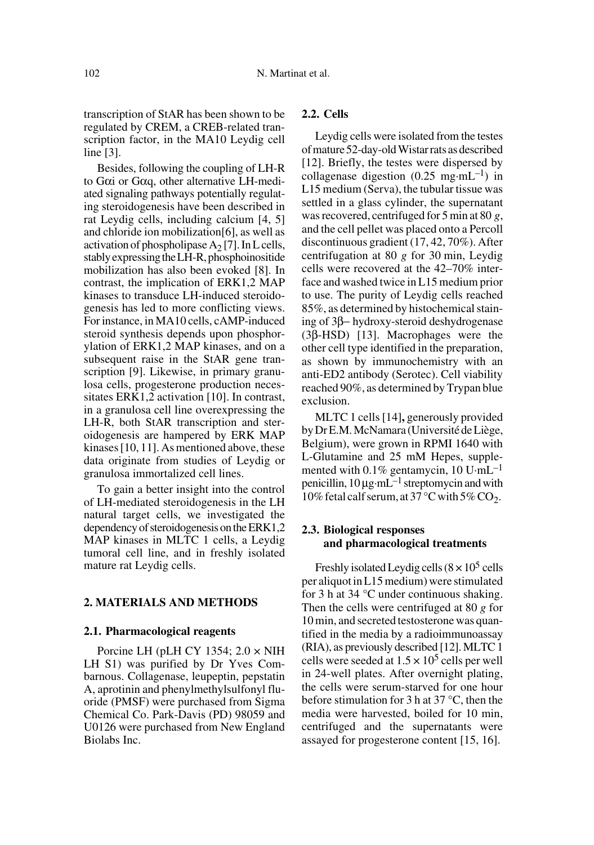transcription of StAR has been shown to be regulated by CREM, a CREB-related transcription factor, in the MA10 Leydig cell line [3].

Besides, following the coupling of LH-R to Gαi or Gαq, other alternative LH-mediated signaling pathways potentially regulating steroidogenesis have been described in rat Leydig cells, including calcium [4, 5] and chloride ion mobilization[6], as well as activation of phospholipase  $A_2$  [7]. In L cells, stably expressing the LH-R, phosphoinositide mobilization has also been evoked [8]. In contrast, the implication of ERK1,2 MAP kinases to transduce LH-induced steroidogenesis has led to more conflicting views. For instance, in MA10 cells, cAMP-induced steroid synthesis depends upon phosphorylation of ERK1,2 MAP kinases, and on a subsequent raise in the StAR gene transcription [9]. Likewise, in primary granulosa cells, progesterone production necessitates ERK1,2 activation [10]. In contrast, in a granulosa cell line overexpressing the LH-R, both StAR transcription and steroidogenesis are hampered by ERK MAP kinases [10, 11]. As mentioned above, these data originate from studies of Leydig or granulosa immortalized cell lines.

To gain a better insight into the control of LH-mediated steroidogenesis in the LH natural target cells, we investigated the dependency of steroidogenesis on the ERK1,2 MAP kinases in MLTC 1 cells, a Leydig tumoral cell line, and in freshly isolated mature rat Leydig cells.

#### **2. MATERIALS AND METHODS**

#### **2.1. Pharmacological reagents**

Porcine LH (pLH CY 1354; 2.0 × NIH LH S1) was purified by Dr Yves Combarnous. Collagenase, leupeptin, pepstatin A, aprotinin and phenylmethylsulfonyl fluoride (PMSF) were purchased from Sigma Chemical Co. Park-Davis (PD) 98059 and U0126 were purchased from New England Biolabs Inc.

### **2.2. Cells**

Leydig cells were isolated from the testes of mature 52-day-old Wistar rats as described [12]. Briefly, the testes were dispersed by collagenase digestion  $(0.25 \text{ mg} \cdot \text{mL}^{-1})$  in L15 medium (Serva), the tubular tissue was settled in a glass cylinder, the supernatant was recovered, centrifuged for 5 min at 80 *g*, and the cell pellet was placed onto a Percoll discontinuous gradient (17, 42, 70%). After centrifugation at 80 *g* for 30 min, Leydig cells were recovered at the 42–70% interface and washed twice in L15 medium prior to use. The purity of Leydig cells reached 85%, as determined by histochemical staining of 3β− hydroxy-steroid deshydrogenase (3β-HSD) [13]. Macrophages were the other cell type identified in the preparation, as shown by immunochemistry with an anti-ED2 antibody (Serotec). Cell viability reached 90%, as determined by Trypan blue exclusion.

MLTC 1 cells [14]**,** generously provided by Dr E.M. McNamara (Université de Liège, Belgium), were grown in RPMI 1640 with L-Glutamine and 25 mM Hepes, supplemented with  $0.1\%$  gentamycin, 10 U·mL<sup>-1</sup> penicillin, 10 µg·mL–1 streptomycin and with 10% fetal calf serum, at 37 °C with 5%  $CO_2$ .

## **2.3. Biological responses and pharmacological treatments**

Freshly isolated Leydig cells  $(8 \times 10^5 \text{ cells})$ per aliquot in L15 medium) were stimulated for 3 h at 34 °C under continuous shaking. Then the cells were centrifuged at 80 *g* for 10 min, and secreted testosterone was quantified in the media by a radioimmunoassay (RIA), as previously described [12]. MLTC 1 cells were seeded at  $1.5 \times 10^5$  cells per well in 24-well plates. After overnight plating, the cells were serum-starved for one hour before stimulation for 3 h at 37 °C, then the media were harvested, boiled for 10 min, centrifuged and the supernatants were assayed for progesterone content [15, 16].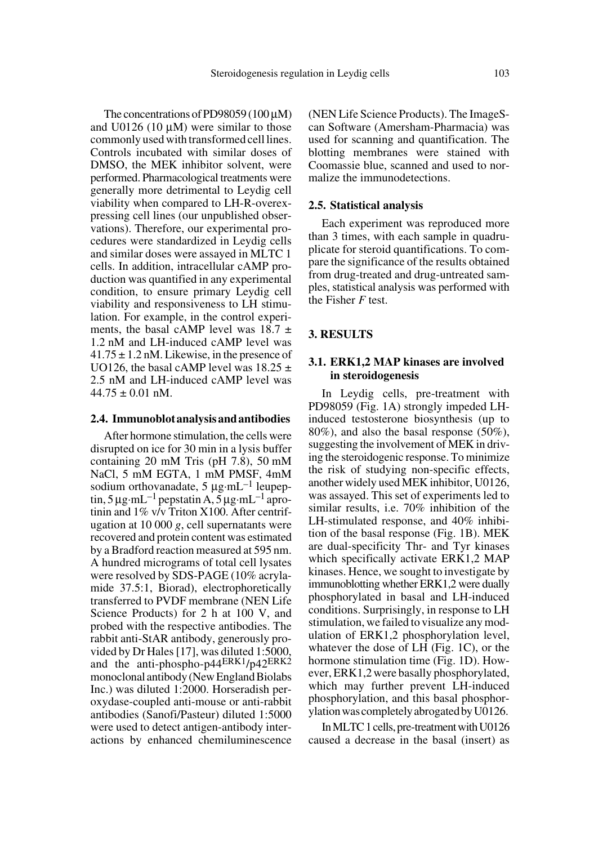The concentrations of PD98059 (100  $\mu$ M) and  $U0126$  (10  $\mu$ M) were similar to those commonly used with transformed cell lines. Controls incubated with similar doses of DMSO, the MEK inhibitor solvent, were performed. Pharmacological treatments were generally more detrimental to Leydig cell viability when compared to LH-R-overexpressing cell lines (our unpublished observations). Therefore, our experimental procedures were standardized in Leydig cells and similar doses were assayed in MLTC 1 cells. In addition, intracellular cAMP production was quantified in any experimental condition, to ensure primary Leydig cell viability and responsiveness to LH stimulation. For example, in the control experiments, the basal cAMP level was  $18.7 \pm$ 1.2 nM and LH-induced cAMP level was  $41.75 \pm 1.2$  nM. Likewise, in the presence of

# $44.75 \pm 0.01$  nM. **2.4. Immunoblot analysis and antibodies**

UO126, the basal cAMP level was  $18.25 \pm$ 2.5 nM and LH-induced cAMP level was

After hormone stimulation, the cells were disrupted on ice for 30 min in a lysis buffer containing 20 mM Tris (pH 7.8), 50 mM NaCl, 5 mM EGTA, 1 mM PMSF, 4mM sodium orthovanadate,  $5 \mu g \cdot mL^{-1}$  leupeptin,  $5 \mu$ g·mL<sup>-1</sup> pepstatin A,  $5 \mu$ g·mL<sup>-1</sup> aprotinin and 1% v/v Triton X100. After centrifugation at 10 000 *g*, cell supernatants were recovered and protein content was estimated by a Bradford reaction measured at 595 nm. A hundred micrograms of total cell lysates were resolved by SDS-PAGE (10% acrylamide 37.5:1, Biorad), electrophoretically transferred to PVDF membrane (NEN Life Science Products) for 2 h at 100 V, and probed with the respective antibodies. The rabbit anti-StAR antibody, generously provided by Dr Hales [17], was diluted 1:5000, and the anti-phospho-p44ERK1/p42ERK2 monoclonal antibody (New England Biolabs Inc.) was diluted 1:2000. Horseradish peroxydase-coupled anti-mouse or anti-rabbit antibodies (Sanofi/Pasteur) diluted 1:5000 were used to detect antigen-antibody interactions by enhanced chemiluminescence

(NEN Life Science Products). The ImageScan Software (Amersham-Pharmacia) was used for scanning and quantification. The blotting membranes were stained with Coomassie blue, scanned and used to normalize the immunodetections.

#### **2.5. Statistical analysis**

Each experiment was reproduced more than 3 times, with each sample in quadruplicate for steroid quantifications. To compare the significance of the results obtained from drug-treated and drug-untreated samples, statistical analysis was performed with the Fisher *F* test.

#### **3. RESULTS**

### **3.1. ERK1,2 MAP kinases are involved in steroidogenesis**

In Leydig cells, pre-treatment with PD98059 (Fig. 1A) strongly impeded LHinduced testosterone biosynthesis (up to 80%), and also the basal response (50%), suggesting the involvement of MEK in driving the steroidogenic response. To minimize the risk of studying non-specific effects, another widely used MEK inhibitor, U0126, was assayed. This set of experiments led to similar results, i.e. 70% inhibition of the LH-stimulated response, and 40% inhibition of the basal response (Fig. 1B). MEK are dual-specificity Thr- and Tyr kinases which specifically activate ERK1,2 MAP kinases. Hence, we sought to investigate by immunoblotting whether ERK1,2 were dually phosphorylated in basal and LH-induced conditions. Surprisingly, in response to LH stimulation, we failed to visualize any modulation of ERK1,2 phosphorylation level, whatever the dose of LH (Fig. 1C), or the hormone stimulation time (Fig. 1D). However, ERK1,2 were basally phosphorylated, which may further prevent LH-induced phosphorylation, and this basal phosphorylation was completely abrogated by U0126.

In MLTC 1 cells, pre-treatment with U0126 caused a decrease in the basal (insert) as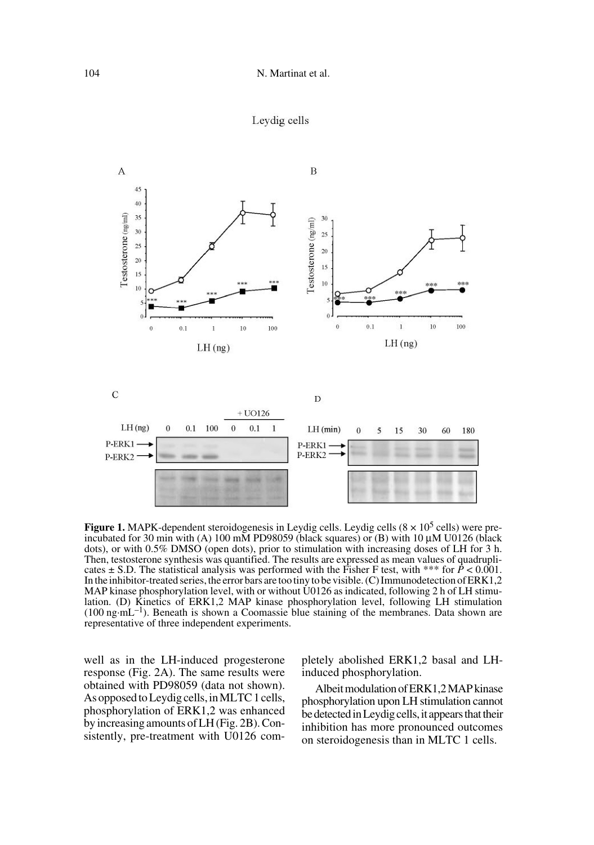



**Figure 1.** MAPK-dependent steroidogenesis in Leydig cells. Leydig cells  $(8 \times 10^5 \text{ cells})$  were preincubated for 30 min with (A) 100 mM PD98059 (black squares) or (B) with 10 µM U0126 (black dots), or with 0.5% DMSO (open dots), prior to stimulation with increasing doses of LH for 3 h. Then, testosterone synthesis was quantified. The results are expressed as mean values of quadruplicates  $\pm$  S.D. The statistical analysis was performed with the Fisher F test, with \*\*\* for  $\bar{P}$  < 0.001. In the inhibitor-treated series, the error bars are too tiny to be visible. (C) Immunodetection of ERK1,2 MAP kinase phosphorylation level, with or without U0126 as indicated, following 2 h of LH stimulation. (D) Kinetics of ERK1,2 MAP kinase phosphorylation level, following LH stimulation (100 ng·mL–1). Beneath is shown a Coomassie blue staining of the membranes. Data shown are representative of three independent experiments.

well as in the LH-induced progesterone response (Fig. 2A). The same results were obtained with PD98059 (data not shown). As opposed to Leydig cells, in MLTC 1 cells, phosphorylation of ERK1,2 was enhanced by increasing amounts of LH (Fig. 2B). Consistently, pre-treatment with U0126 completely abolished ERK1,2 basal and LHinduced phosphorylation.

Albeit modulation of ERK1,2 MAP kinase phosphorylation upon LH stimulation cannot be detected in Leydig cells, it appears that their inhibition has more pronounced outcomes on steroidogenesis than in MLTC 1 cells.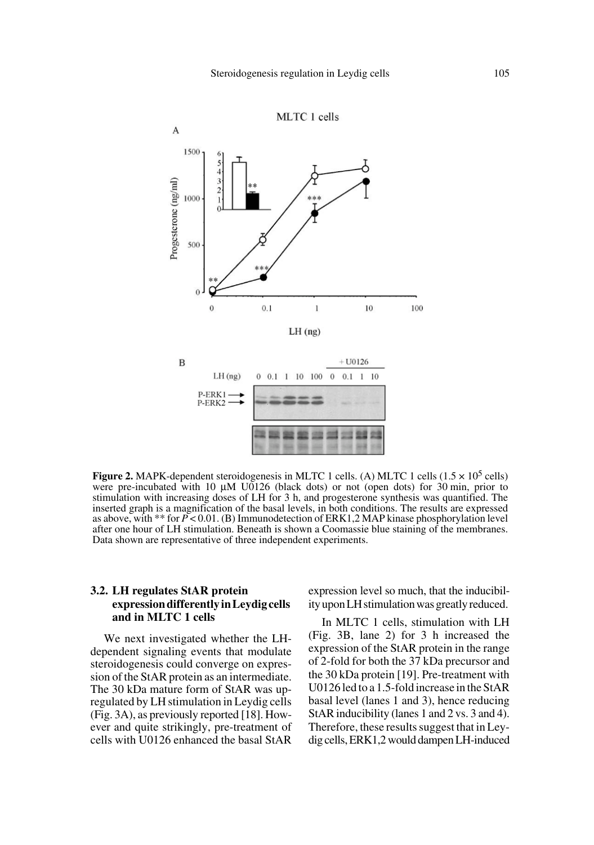

**Figure 2.** MAPK-dependent steroidogenesis in MLTC 1 cells. (A) MLTC 1 cells  $(1.5 \times 10^5 \text{ cells})$ were pre-incubated with 10  $\mu$ M U0126 (black dots) or not (open dots) for 30 min, prior to stimulation with increasing doses of LH for 3 h, and progesterone synthesis was quantified. The inserted graph is a magnification of the basal levels, in both conditions. The results are expressed as above, with \*\* for *P* < 0.01. (B) Immunodetection of ERK1,2 MAP kinase phosphorylation level after one hour of LH stimulation. Beneath is shown a Coomassie blue staining of the membranes. Data shown are representative of three independent experiments.

## **3.2. LH regulates StAR protein expression differently in Leydig cells and in MLTC 1 cells**

We next investigated whether the LHdependent signaling events that modulate steroidogenesis could converge on expression of the StAR protein as an intermediate. The 30 kDa mature form of StAR was upregulated by LH stimulation in Leydig cells (Fig. 3A), as previously reported [18]. However and quite strikingly, pre-treatment of cells with U0126 enhanced the basal StAR

expression level so much, that the inducibility upon LH stimulation was greatly reduced.

In MLTC 1 cells, stimulation with LH (Fig. 3B, lane 2) for 3 h increased the expression of the StAR protein in the range of 2-fold for both the 37 kDa precursor and the 30 kDa protein [19]. Pre-treatment with U0126 led to a 1.5-fold increase in the StAR basal level (lanes 1 and 3), hence reducing StAR inducibility (lanes 1 and 2 vs. 3 and 4). Therefore, these results suggest that in Leydig cells, ERK1,2 would dampen LH-induced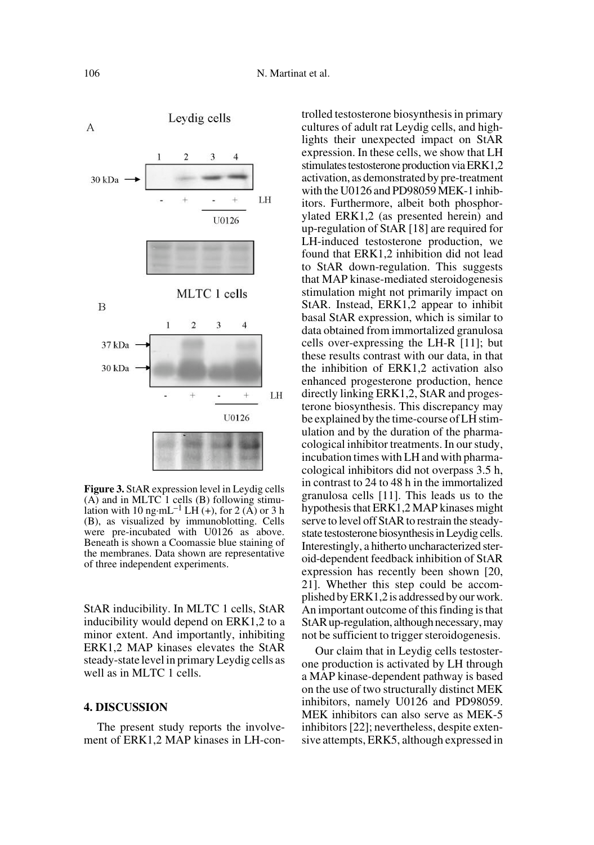

**Figure 3.** StAR expression level in Leydig cells  $(A)$  and in MLTC 1 cells  $(B)$  following stimulation with 10 ng·mL<sup>-1</sup> LH  $(+)$ , for 2 (A) or 3 h (B), as visualized by immunoblotting. Cells were pre-incubated with U0126 as above. Beneath is shown a Coomassie blue staining of the membranes. Data shown are representative of three independent experiments.

StAR inducibility. In MLTC 1 cells, StAR inducibility would depend on ERK1,2 to a minor extent. And importantly, inhibiting ERK1,2 MAP kinases elevates the StAR steady-state level in primary Leydig cells as well as in MLTC 1 cells.

#### **4. DISCUSSION**

The present study reports the involvement of ERK1,2 MAP kinases in LH-controlled testosterone biosynthesis in primary cultures of adult rat Leydig cells, and highlights their unexpected impact on StAR expression. In these cells, we show that LH stimulates testosterone production via ERK1,2 activation, as demonstrated by pre-treatment with the U0126 and PD98059 MEK-1 inhibitors. Furthermore, albeit both phosphorylated ERK1,2 (as presented herein) and up-regulation of StAR [18] are required for LH-induced testosterone production, we found that ERK1,2 inhibition did not lead to StAR down-regulation. This suggests that MAP kinase-mediated steroidogenesis stimulation might not primarily impact on StAR. Instead, ERK1,2 appear to inhibit basal StAR expression, which is similar to data obtained from immortalized granulosa cells over-expressing the LH-R [11]; but these results contrast with our data, in that the inhibition of ERK1,2 activation also enhanced progesterone production, hence directly linking ERK1,2, StAR and progesterone biosynthesis. This discrepancy may be explained by the time-course of LH stimulation and by the duration of the pharmacological inhibitor treatments. In our study, incubation times with LH and with pharmacological inhibitors did not overpass 3.5 h, in contrast to 24 to 48 h in the immortalized granulosa cells [11]. This leads us to the hypothesis that ERK1,2 MAP kinases might serve to level off StAR to restrain the steadystate testosterone biosynthesis in Leydig cells. Interestingly, a hitherto uncharacterized steroid-dependent feedback inhibition of StAR expression has recently been shown [20, 21]. Whether this step could be accomplished by ERK1,2 is addressed by our work. An important outcome of this finding is that StAR up-regulation, although necessary, may not be sufficient to trigger steroidogenesis.

Our claim that in Leydig cells testosterone production is activated by LH through a MAP kinase-dependent pathway is based on the use of two structurally distinct MEK inhibitors, namely U0126 and PD98059. MEK inhibitors can also serve as MEK-5 inhibitors [22]; nevertheless, despite extensive attempts, ERK5, although expressed in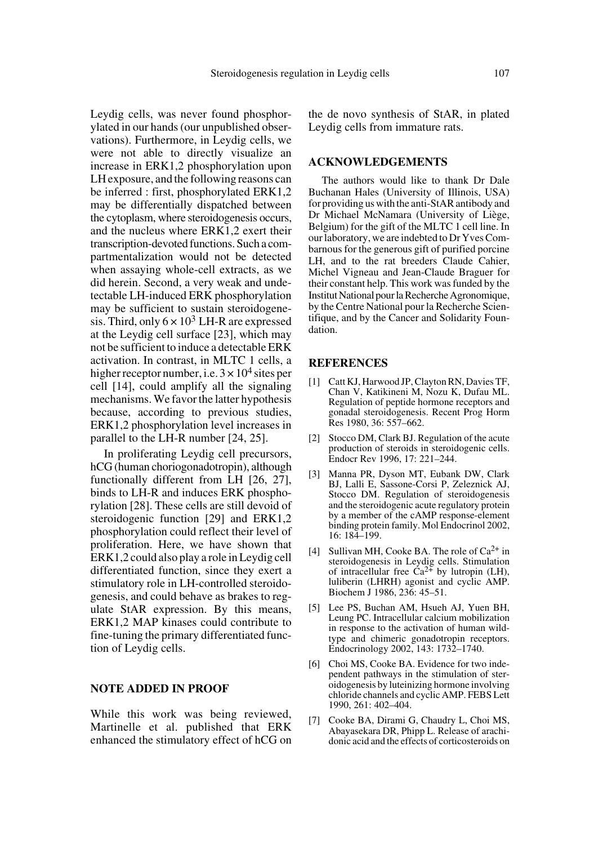Leydig cells, was never found phosphorylated in our hands (our unpublished observations). Furthermore, in Leydig cells, we were not able to directly visualize an increase in ERK1,2 phosphorylation upon LH exposure, and the following reasons can be inferred : first, phosphorylated ERK1,2 may be differentially dispatched between the cytoplasm, where steroidogenesis occurs, and the nucleus where ERK1,2 exert their transcription-devoted functions. Such a compartmentalization would not be detected when assaying whole-cell extracts, as we did herein. Second, a very weak and undetectable LH-induced ERK phosphorylation may be sufficient to sustain steroidogenesis. Third, only  $6 \times 10^3$  LH-R are expressed at the Leydig cell surface [23], which may not be sufficient to induce a detectable ERK activation. In contrast, in MLTC 1 cells, a higher receptor number, i.e.  $3 \times 10^4$  sites per cell [14], could amplify all the signaling mechanisms. We favor the latter hypothesis because, according to previous studies, ERK1,2 phosphorylation level increases in parallel to the LH-R number [24, 25].

In proliferating Leydig cell precursors, hCG (human choriogonadotropin), although functionally different from LH [26, 27], binds to LH-R and induces ERK phosphorylation [28]. These cells are still devoid of steroidogenic function [29] and ERK1,2 phosphorylation could reflect their level of proliferation. Here, we have shown that ERK1,2 could also play a role in Leydig cell differentiated function, since they exert a stimulatory role in LH-controlled steroidogenesis, and could behave as brakes to regulate StAR expression. By this means, ERK1,2 MAP kinases could contribute to fine-tuning the primary differentiated function of Leydig cells.

### **NOTE ADDED IN PROOF**

While this work was being reviewed, Martinelle et al. published that ERK enhanced the stimulatory effect of hCG on the de novo synthesis of StAR, in plated Leydig cells from immature rats.

#### **ACKNOWLEDGEMENTS**

The authors would like to thank Dr Dale Buchanan Hales (University of Illinois, USA) for providing us with the anti-StAR antibody and Dr Michael McNamara (University of Liège, Belgium) for the gift of the MLTC 1 cell line. In our laboratory, we are indebted to Dr Yves Combarnous for the generous gift of purified porcine LH, and to the rat breeders Claude Cahier, Michel Vigneau and Jean-Claude Braguer for their constant help. This work was funded by the Institut National pour la Recherche Agronomique, by the Centre National pour la Recherche Scientifique, and by the Cancer and Solidarity Foundation.

#### **REFERENCES**

- [1] Catt KJ, Harwood JP, Clayton RN, Davies TF, Chan V, Katikineni M, Nozu K, Dufau ML. Regulation of peptide hormone receptors and gonadal steroidogenesis. Recent Prog Horm Res 1980, 36: 557–662.
- [2] Stocco DM, Clark BJ. Regulation of the acute production of steroids in steroidogenic cells. Endocr Rev 1996, 17: 221–244.
- [3] Manna PR, Dyson MT, Eubank DW, Clark BJ, Lalli E, Sassone-Corsi P, Zeleznick AJ, Stocco DM. Regulation of steroidogenesis and the steroidogenic acute regulatory protein by a member of the cAMP response-element binding protein family. Mol Endocrinol 2002, 16: 184–199.
- [4] Sullivan MH, Cooke BA. The role of  $Ca^{2+}$  in steroidogenesis in Leydig cells. Stimulation<br>of intracellular free Ca<sup>2+</sup> by lutropin (LH), luliberin (LHRH) agonist and cyclic AMP. Biochem J 1986, 236: 45–51.
- [5] Lee PS, Buchan AM, Hsueh AJ, Yuen BH, Leung PC. Intracellular calcium mobilization in response to the activation of human wildtype and chimeric gonadotropin receptors. Endocrinology 2002, 143: 1732–1740.
- [6] Choi MS, Cooke BA. Evidence for two independent pathways in the stimulation of steroidogenesis by luteinizing hormone involving chloride channels and cyclic AMP. FEBS Lett 1990, 261: 402–404.
- [7] Cooke BA, Dirami G, Chaudry L, Choi MS, Abayasekara DR, Phipp L. Release of arachidonic acid and the effects of corticosteroids on